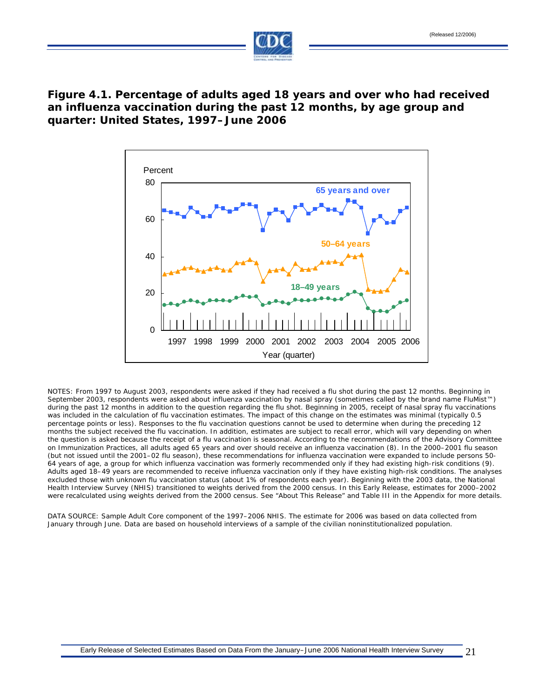

## **Figure 4.1. Percentage of adults aged 18 years and over who had received an influenza vaccination during the past 12 months, by age group and quarter: United States, 1997–June 2006**



NOTES: From 1997 to August 2003, respondents were asked if they had received a flu shot during the past 12 months. Beginning in September 2003, respondents were asked about influenza vaccination by nasal spray (sometimes called by the brand name FluMist™) during the past 12 months in addition to the question regarding the flu shot. Beginning in 2005, receipt of nasal spray flu vaccinations was included in the calculation of flu vaccination estimates. The impact of this change on the estimates was minimal (typically 0.5 percentage points or less). Responses to the flu vaccination questions cannot be used to determine when during the preceding 12 months the subject received the flu vaccination. In addition, estimates are subject to recall error, which will vary depending on when the question is asked because the receipt of a flu vaccination is seasonal. According to the recommendations of the Advisory Committee on Immunization Practices, all adults aged 65 years and over should receive an influenza vaccination (8). In the 2000–2001 flu season (but not issued until the 2001–02 flu season), these recommendations for influenza vaccination were expanded to include persons 50- 64 years of age, a group for which influenza vaccination was formerly recommended only if they had existing high-risk conditions (9). Adults aged 18–49 years are recommended to receive influenza vaccination only if they have existing high-risk conditions. The analyses excluded those with unknown flu vaccination status (about 1% of respondents each year). Beginning with the 2003 data, the National Health Interview Survey (NHIS) transitioned to weights derived from the 2000 census. In this Early Release, estimates for 2000–2002 were recalculated using weights derived from the 2000 census. See "About This Release" and Table III in the Appendix for more details.

DATA SOURCE: Sample Adult Core component of the 1997–2006 NHIS. The estimate for 2006 was based on data collected from January through June. Data are based on household interviews of a sample of the civilian noninstitutionalized population.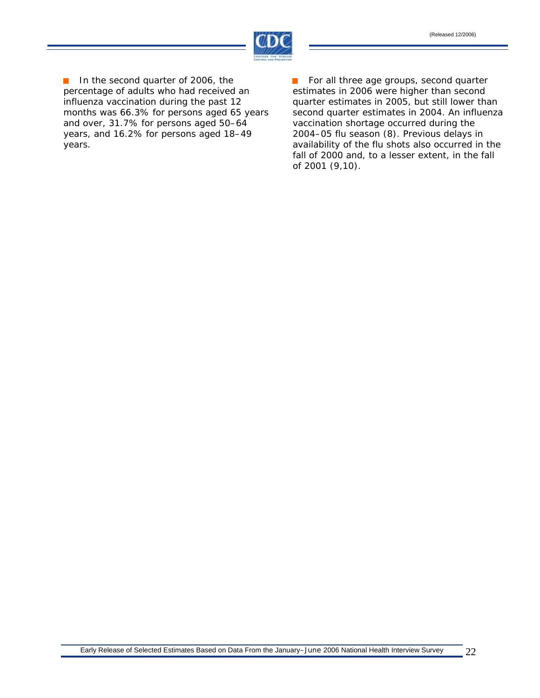

In the second quarter of 2006, the  $\mathcal{L}_{\text{eff}}$ percentage of adults who had received an influenza vaccination during the past 12 months was 66.3% for persons aged 65 years and over, 31.7% for persons aged 50–64 years, and 16.2% for persons aged 18–49 years.

For all three age groups, second quarter estimates in 2006 were higher than second quarter estimates in 2005, but still lower than second quarter estimates in 2004. An influenza vaccination shortage occurred during the 2004–05 flu season (8). Previous delays in availability of the flu shots also occurred in the fall of 2000 and, to a lesser extent, in the fall of 2001 (9,10).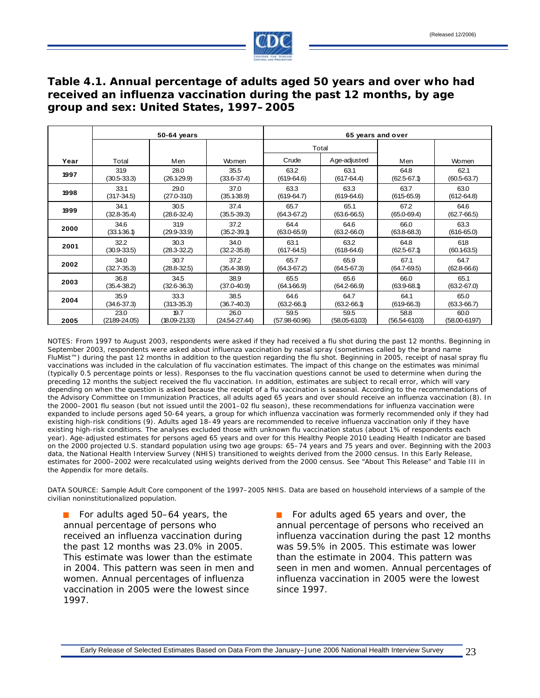

## **Table 4.1. Annual percentage of adults aged 50 years and over who had received an influenza vaccination during the past 12 months, by age group and sex: United States, 1997–2005**

|      | 50-64 years     |                 | 65 years and over |                   |                  |                  |                 |
|------|-----------------|-----------------|-------------------|-------------------|------------------|------------------|-----------------|
|      |                 |                 |                   | Total             |                  |                  |                 |
| Year | Total           | Men             | Women             | Crude             | Age-adjusted     | Men              | Women           |
| 1997 | 319             | 28.0            | 35.5              | 63.2              | 63.1             | 64.8             | 62.1            |
|      | $(30.5 - 33.3)$ | (26.129.9)      | $(33.6 - 37.4)$   | $(619-64.6)$      | $(617-64.4)$     | $(62.5 - 67.1)$  | $(60.5 - 63.7)$ |
| 1998 | 33.1            | 29.0            | 37.0              | 63.3              | 63.3             | 63.7             | 63.0            |
|      | $(317-34.5)$    | $(27.0 - 310)$  | (35.138.9)        | $(619-64.7)$      | $(619-64.6)$     | $(615-65.9)$     | $(612 - 64.8)$  |
| 1999 | 34.1            | 30.5            | 37.4              | 65.7              | 65.1             | 67.2             | 64.6            |
|      | $(32.8 - 35.4)$ | $(28.6 - 32.4)$ | $(35.5 - 39.3)$   | $(64.3 - 67.2)$   | $(63.6 - 66.5)$  | $(65.0 - 69.4)$  | $(62.7 - 66.5)$ |
| 2000 | 34.6            | 319             | 37.2              | 64.4              | 64.6             | 66.0             | 63.3            |
|      | (33.136.1)      | $(29.9 - 33.9)$ | $(35.2 - 39.1)$   | $(63.0 - 65.9)$   | $(63.2 - 66.0)$  | $(63.8 - 68.3)$  | $(616-65.0)$    |
| 2001 | 32.2            | 30.3            | 34.0              | 63.1              | 63.2             | 64.8             | 618             |
|      | $(30.9 - 33.5)$ | $(28.3 - 32.2)$ | $(32.2 - 35.8)$   | $(617-64.5)$      | $(618-64.6)$     | $(62.5 - 67.1)$  | (60.163.5)      |
| 2002 | 34.0            | 30.7            | 37.2              | 65.7              | 65.9             | 67.1             | 64.7            |
|      | $(32.7 - 35.3)$ | $(28.8 - 32.5)$ | $(35.4 - 38.9)$   | $(64.3 - 67.2)$   | $(64.5 - 67.3)$  | $(64.7 - 69.5)$  | $(62.8 - 66.6)$ |
| 2003 | 36.8            | 34.5            | 38.9              | 65.5              | 65.6             | 66.0             | 65.1            |
|      | $(35.4 - 38.2)$ | $(32.6 - 36.3)$ | $(37.0 - 40.9)$   | (64.166.9)        | $(64.2 - 66.9)$  | $(63.9 - 68.1)$  | $(63.2 - 67.0)$ |
| 2004 | 35.9            | 33.3            | 38.5              | 64.6              | 64.7             | 64.1             | 65.0            |
|      | $(34.6 - 37.3)$ | $(313 - 35.3)$  | (36.7-40.3)       | $(63.2 - 66.1)$   | $(63.2 - 66.1)$  | $(619-66.3)$     | $(63.3 - 66.7)$ |
| 2005 | 23.0            | 19.7            | 26.0              | 59.5              | 59.5             | 58.8             | 60.0            |
|      | (2189-24.05)    | (18.09-21.33)   | (24.54-27.44)     | $(57.98 - 60.96)$ | $(58.05 - 6103)$ | $(56.54 - 6103)$ | (58.00-6197)    |

NOTES: From 1997 to August 2003, respondents were asked if they had received a flu shot during the past 12 months. Beginning in September 2003, respondents were asked about influenza vaccination by nasal spray (sometimes called by the brand name FluMist™) during the past 12 months in addition to the question regarding the flu shot. Beginning in 2005, receipt of nasal spray flu vaccinations was included in the calculation of flu vaccination estimates. The impact of this change on the estimates was minimal (typically 0.5 percentage points or less). Responses to the flu vaccination questions cannot be used to determine when during the preceding 12 months the subject received the flu vaccination. In addition, estimates are subject to recall error, which will vary depending on when the question is asked because the receipt of a flu vaccination is seasonal. According to the recommendations of the Advisory Committee on Immunization Practices, all adults aged 65 years and over should receive an influenza vaccination (8). In the 2000–2001 flu season (but not issued until the 2001–02 flu season), these recommendations for influenza vaccination were expanded to include persons aged 50-64 years, a group for which influenza vaccination was formerly recommended only if they had existing high-risk conditions (9). Adults aged 18–49 years are recommended to receive influenza vaccination only if they have existing high-risk conditions. The analyses excluded those with unknown flu vaccination status (about 1% of respondents each year). Age-adjusted estimates for persons aged 65 years and over for this Healthy People 2010 Leading Health Indicator are based on the 2000 projected U.S. standard population using two age groups: 65–74 years and 75 years and over. Beginning with the 2003 data, the National Health Interview Survey (NHIS) transitioned to weights derived from the 2000 census. In this Early Release, estimates for 2000–2002 were recalculated using weights derived from the 2000 census. See "About This Release" and Table III in the Appendix for more details.

DATA SOURCE: Sample Adult Core component of the 1997–2005 NHIS. Data are based on household interviews of a sample of the civilian noninstitutionalized population.

■ For adults aged 50–64 years, the ■ For adults aged 65 years and over, the vaccination in 2005 were the lowest since since 1997. 1997.

annual percentage of persons who annual percentage of persons who received an received an influenza vaccination during influenza vaccination during the past 12 months the past 12 months was 23.0% in 2005. was 59.5% in 2005. This estimate was lower This estimate was lower than the estimate than the estimate in 2004. This pattern was in 2004. This pattern was seen in men and seen in men and women. Annual percentages of women. Annual percentages of influenza influenza vaccination in 2005 were the lowest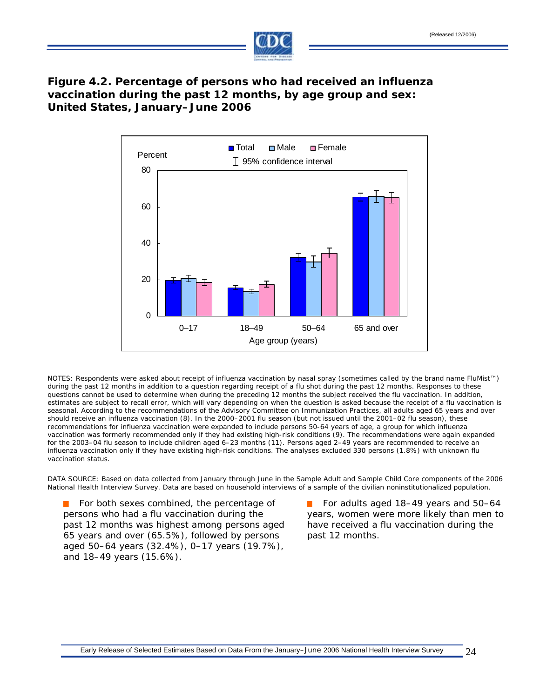

# **Figure 4.2. Percentage of persons who had received an influenza vaccination during the past 12 months, by age group and sex: United States, January–June 2006**



NOTES: Respondents were asked about receipt of influenza vaccination by nasal spray (sometimes called by the brand name FluMist™) during the past 12 months in addition to a question regarding receipt of a flu shot during the past 12 months. Responses to these questions cannot be used to determine when during the preceding 12 months the subject received the flu vaccination. In addition, estimates are subject to recall error, which will vary depending on when the question is asked because the receipt of a flu vaccination is seasonal. According to the recommendations of the Advisory Committee on Immunization Practices, all adults aged 65 years and over should receive an influenza vaccination (8). In the 2000–2001 flu season (but not issued until the 2001–02 flu season), these recommendations for influenza vaccination were expanded to include persons 50-64 years of age, a group for which influenza vaccination was formerly recommended only if they had existing high-risk conditions (9). The recommendations were again expanded for the 2003–04 flu season to include children aged 6–23 months (11). Persons aged 2–49 years are recommended to receive an influenza vaccination only if they have existing high-risk conditions. The analyses excluded 330 persons (1.8%) with unknown flu vaccination status.

DATA SOURCE: Based on data collected from January through June in the Sample Adult and Sample Child Core components of the 2006 National Health Interview Survey. Data are based on household interviews of a sample of the civilian noninstitutionalized population.

persons who had a flu vaccination during the years, women were more likely than men to past 12 months was highest among persons aged have received a flu vaccination during the 65 years and over (65.5%), followed by persons past 12 months. aged 50–64 years (32.4%), 0–17 years (19.7%), and 18–49 years (15.6%).

For both sexes combined, the percentage of For adults aged 18–49 years and 50–64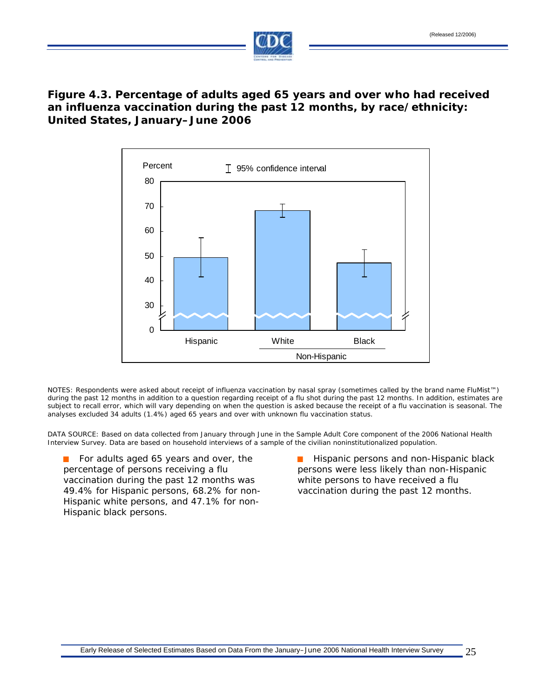

## **Figure 4.3. Percentage of adults aged 65 years and over who had received an influenza vaccination during the past 12 months, by race/ethnicity: United States, January–June 2006**



NOTES: Respondents were asked about receipt of influenza vaccination by nasal spray (sometimes called by the brand name FluMist™) during the past 12 months in addition to a question regarding receipt of a flu shot during the past 12 months. In addition, estimates are subject to recall error, which will vary depending on when the question is asked because the receipt of a flu vaccination is seasonal. The analyses excluded 34 adults (1.4%) aged 65 years and over with unknown flu vaccination status.

DATA SOURCE: Based on data collected from January through June in the Sample Adult Core component of the 2006 National Health Interview Survey. Data are based on household interviews of a sample of the civilian noninstitutionalized population.

**For adults aged 65 years and over, the Hispanic persons and non-Hispanic black** percentage of persons receiving a flu persons were less likely than non-Hispanic vaccination during the past 12 months was white persons to have received a flu 49.4% for Hispanic persons, 68.2% for non- vaccination during the past 12 months. Hispanic white persons, and 47.1% for non-Hispanic black persons.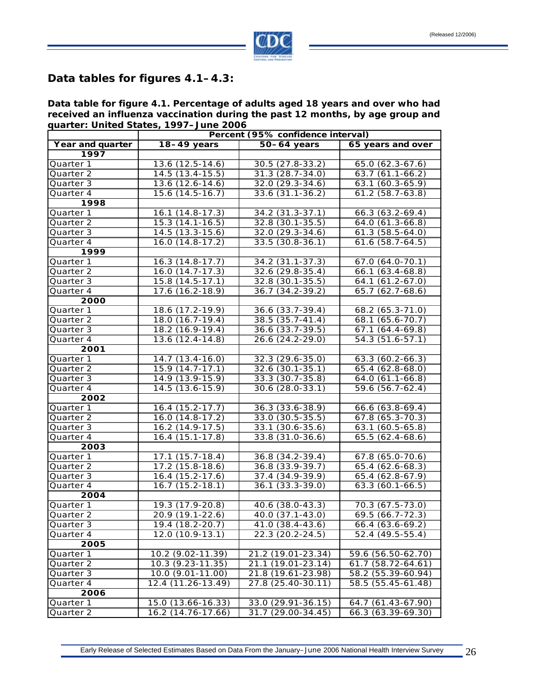

#### **Data tables for figures 4.1–4.3:**

**Data table for figure 4.1. Percentage of adults aged 18 years and over who had received an influenza vaccination during the past 12 months, by age group and quarter: United States, 1997–June 2006** 

|                   | Percent (95% confidence interval) |                     |                        |  |  |
|-------------------|-----------------------------------|---------------------|------------------------|--|--|
| Year and quarter  | $18-49$ years                     | $50-64$ years       | 65 years and over      |  |  |
| 1997              |                                   |                     |                        |  |  |
| Quarter 1         | 13.6 (12.5-14.6)                  | 30.5 (27.8-33.2)    | 65.0 (62.3-67.6)       |  |  |
| Quarter 2         | $14.5(13.4-15.5)$                 | $31.3(28.7 - 34.0)$ | $63.7(61.1-66.2)$      |  |  |
| Quarter 3         | 13.6 (12.6-14.6)                  | 32.0 (29.3-34.6)    | $63.1(60.3-65.9)$      |  |  |
| Quarter 4         | 15.6 (14.5-16.7)                  | 33.6 (31.1-36.2)    | $61.2(58.7 - 63.8)$    |  |  |
| 1998              |                                   |                     |                        |  |  |
| Quarter 1         | $16.1(14.8-17.3)$                 | 34.2 (31.3-37.1)    | $66.3(63.2-69.4)$      |  |  |
| Quarter 2         | 15.3 (14.1-16.5)                  | 32.8 (30.1-35.5)    | 64.0 (61.3-66.8)       |  |  |
| Quarter 3         | 14.5 (13.3-15.6)                  | 32.0 (29.3-34.6)    | $61.3(58.5-64.0)$      |  |  |
| Quarter 4         | $16.0(14.8-17.2)$                 | 33.5 (30.8-36.1)    | $61.6$ $(58.7 - 64.5)$ |  |  |
| 1999              |                                   |                     |                        |  |  |
| Quarter 1         | $16.3(14.8-17.7)$                 | 34.2 (31.1-37.3)    | 67.0 (64.0-70.1)       |  |  |
| Quarter 2         | $16.0(14.7-17.3)$                 | 32.6 (29.8-35.4)    | $66.1(63.4-68.8)$      |  |  |
| Quarter 3         | 15.8 (14.5-17.1)                  | 32.8 (30.1-35.5)    | 64.1 (61.2-67.0)       |  |  |
| Quarter 4         | $17.6(16.2-18.9)$                 | $36.7(34.2 - 39.2)$ | $65.7(62.7-68.6)$      |  |  |
| 2000              |                                   |                     |                        |  |  |
| Quarter 1         | 18.6 (17.2-19.9)                  | 36.6 (33.7-39.4)    | 68.2 (65.3-71.0)       |  |  |
| Quarter 2         | 18.0 (16.7-19.4)                  | 38.5 (35.7-41.4)    | 68.1 (65.6-70.7)       |  |  |
| Quarter 3         | 18.2 (16.9-19.4)                  | 36.6 (33.7-39.5)    | $67.1(64.4-69.8)$      |  |  |
| Quarter 4         | 13.6 (12.4-14.8)                  | 26.6 (24.2-29.0)    | 54.3 (51.6-57.1)       |  |  |
| 2001              |                                   |                     |                        |  |  |
| Quarter 1         | 14.7 (13.4-16.0)                  | 32.3 (29.6-35.0)    | 63.3 (60.2-66.3)       |  |  |
| Quarter 2         | $15.9(14.7-17.1)$                 | 32.6 (30.1-35.1)    | 65.4 (62.8-68.0)       |  |  |
| Quarter 3         | 14.9 (13.9-15.9)                  | 33.3 (30.7-35.8)    | $64.0(61.1-66.8)$      |  |  |
| Quarter 4         | 14.5 (13.6-15.9)                  | 30.6 (28.0-33.1)    | 59.6 (56.7-62.4)       |  |  |
| 2002              |                                   |                     |                        |  |  |
| Quarter 1         | $16.4(15.2-17.7)$                 | 36.3 (33.6-38.9)    | 66.6 (63.8-69.4)       |  |  |
| Quarter 2         | 16.0 (14.8-17.2)                  | 33.0 (30.5-35.5)    | 67.8 (65.3-70.3)       |  |  |
| Quarter 3         | $16.2(14.9-17.5)$                 | 33.1 (30.6-35.6)    | $63.1(60.5-65.8)$      |  |  |
| Quarter 4         | 16.4 (15.1-17.8)                  | 33.8 (31.0-36.6)    | 65.5 (62.4-68.6)       |  |  |
| 2003              |                                   |                     |                        |  |  |
| Quarter 1         | $17.1(15.7-18.4)$                 | 36.8 (34.2-39.4)    | 67.8 (65.0-70.6)       |  |  |
| Quarter 2         | 17.2 (15.8-18.6)                  | 36.8 (33.9-39.7)    | 65.4 (62.6-68.3)       |  |  |
| Quarter 3         | $16.4(15.2-17.6)$                 | $37.4(34.9-39.9)$   | 65.4 (62.8-67.9)       |  |  |
| Quarter 4         | $16.7(15.2-18.1)$                 | 36.1 (33.3-39.0)    | $63.3(60.1-66.5)$      |  |  |
| 2004              |                                   |                     |                        |  |  |
| Quarter 1         | 19.3 (17.9-20.8)                  | 40.6 (38.0-43.3)    | $70.3(67.5 - 73.0)$    |  |  |
| Quarter 2         | 20.9 (19.1-22.6)                  | 40.0 (37.1-43.0)    | 69.5 (66.7-72.3)       |  |  |
| Quarter 3         | $19.4(18.2 - 20.7)$               | $41.0(38.4 - 43.6)$ | $66.4(63.6-69.2)$      |  |  |
| Quarter 4         | 12.0 (10.9-13.1)                  | 22.3 (20.2-24.5)    | 52.4 (49.5-55.4)       |  |  |
| 2005              |                                   |                     |                        |  |  |
| Quarter 1         | 10.2 (9.02-11.39)                 | 21.2 (19.01-23.34)  | 59.6 (56.50-62.70)     |  |  |
| Quarter 2         | 10.3 (9.23-11.35)                 | 21.1 (19.01-23.14)  | 61.7 (58.72-64.61)     |  |  |
| Quarter 3         | 10.0 (9.01-11.00)                 | 21.8 (19.61-23.98)  | 58.2 (55.39-60.94)     |  |  |
| Quarter 4         | 12.4 (11.26-13.49)                | 27.8 (25.40-30.11)  | 58.5 (55.45-61.48)     |  |  |
| 2006<br>Quarter 1 | 15.0 (13.66-16.33)                | $33.0(29.91-36.15)$ | 64.7 (61.43-67.90)     |  |  |
| Quarter 2         |                                   | $31.7(29.00-34.45)$ |                        |  |  |
|                   | 16.2 (14.76-17.66)                |                     | 66.3 (63.39-69.30)     |  |  |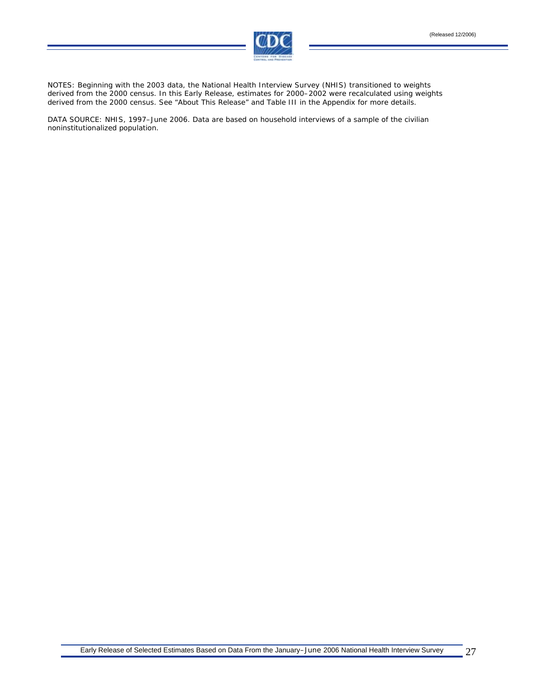

NOTES: Beginning with the 2003 data, the National Health Interview Survey (NHIS) transitioned to weights derived from the 2000 census. In this Early Release, estimates for 2000–2002 were recalculated using weights derived from the 2000 census. See "About This Release" and Table III in the Appendix for more details.

DATA SOURCE: NHIS, 1997–June 2006. Data are based on household interviews of a sample of the civilian noninstitutionalized population.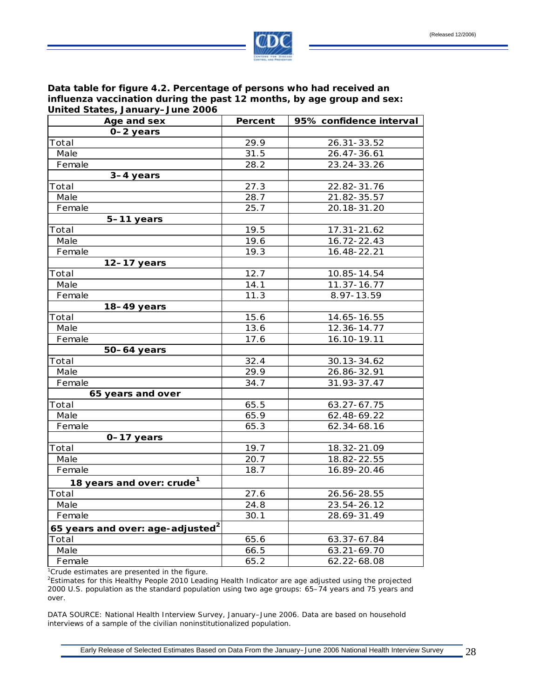

**Data table for figure 4.2. Percentage of persons who had received an influenza vaccination during the past 12 months, by age group and sex: United States, January–June 2006** 

| Age and sex                                               | <b>Percent</b> | 95% confidence interval |
|-----------------------------------------------------------|----------------|-------------------------|
| 0-2 years                                                 |                |                         |
| Total                                                     | 29.9           | 26.31-33.52             |
| Male                                                      | 31.5           | 26.47-36.61             |
| Female                                                    | 28.2           | 23.24-33.26             |
| 3-4 years                                                 |                |                         |
| Total                                                     | 27.3           | 22.82-31.76             |
| Male                                                      | 28.7           | 21.82-35.57             |
| Female                                                    | 25.7           | 20.18-31.20             |
| 5-11 years                                                |                |                         |
| Total                                                     | 19.5           | 17.31-21.62             |
| Male                                                      | 19.6           | 16.72-22.43             |
| Female                                                    | 19.3           | 16.48-22.21             |
| $12-17$ years                                             |                |                         |
| Total                                                     | 12.7           | 10.85-14.54             |
| Male                                                      | 14.1           | 11.37-16.77             |
| Female                                                    | 11.3           | 8.97-13.59              |
| 18-49 years                                               |                |                         |
| Total                                                     | 15.6           | 14.65-16.55             |
| Male                                                      | 13.6           | 12.36-14.77             |
| Female                                                    | 17.6           | 16.10-19.11             |
| 50-64 years                                               |                |                         |
| Total                                                     | 32.4           | 30.13-34.62             |
| Male                                                      | 29.9           | 26.86-32.91             |
| Female                                                    | 34.7           | 31.93-37.47             |
| 65 years and over                                         |                |                         |
| Total                                                     | 65.5           | 63.27-67.75             |
| Male                                                      | 65.9           | 62.48-69.22             |
| Female                                                    | 65.3           | 62.34-68.16             |
| 0-17 years                                                |                |                         |
| Total                                                     | 19.7           | 18.32-21.09             |
| Male                                                      | 20.7           | 18.82-22.55             |
| Female                                                    | 18.7           | 16.89-20.46             |
| 18 years and over: crude <sup>1</sup>                     |                |                         |
| Total                                                     | 27.6           | 26.56-28.55             |
| Male                                                      | 24.8           | 23.54-26.12             |
| Female                                                    | 30.1           | 28.69-31.49             |
| 65 years and over: age-adjusted <sup>2</sup>              |                |                         |
| Total                                                     | 65.6           | 63.37-67.84             |
| Male                                                      | 66.5           | 63.21-69.70             |
| Female                                                    | 65.2           | 62.22-68.08             |
| <sup>1</sup> Crude estimates are presented in the figure. |                |                         |

2 Estimates for this Healthy People 2010 Leading Health Indicator are age adjusted using the projected 2000 U.S. population as the standard population using two age groups: 65–74 years and 75 years and over.

DATA SOURCE: National Health Interview Survey, January–June 2006. Data are based on household interviews of a sample of the civilian noninstitutionalized population.